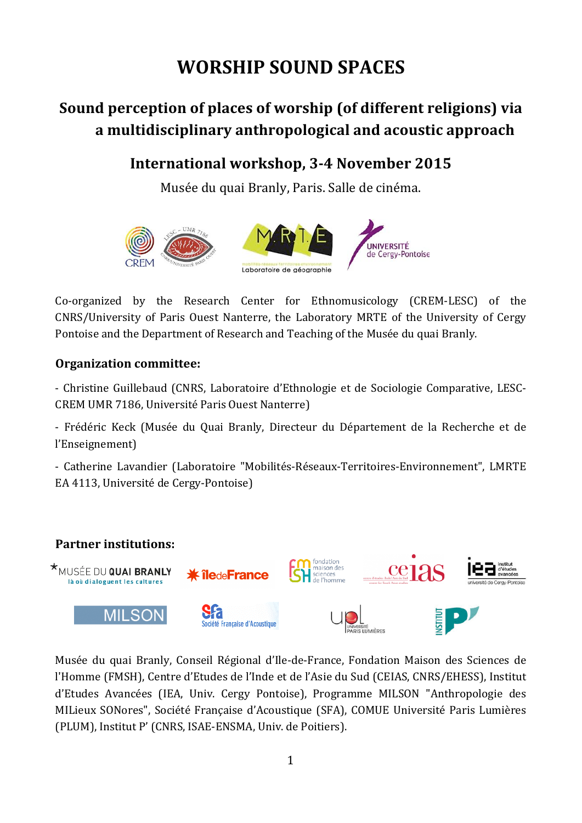# **WORSHIP SOUND SPACES**

## Sound perception of places of worship (of different religions) via **a(multidisciplinary(anthropological(and(acoustic(approach**

### International workshop, 3-4 November 2015

Musée du quai Branly, Paris. Salle de cinéma.



Co-organized by the Research Center for Ethnomusicology (CREM-LESC) of the CNRS/University of Paris Ouest Nanterre, the Laboratory MRTE of the University of Cergy Pontoise and the Department of Research and Teaching of the Musée du quai Branly.

#### **Organization committee:**

- Christine Guillebaud (CNRS, Laboratoire d'Ethnologie et de Sociologie Comparative, LESC-CREM UMR 7186, Université Paris Ouest Nanterre)

- Frédéric Keck (Musée du Quai Branly, Directeur du Département de la Recherche et de l'Enseignement)

- Catherine Lavandier (Laboratoire "Mobilités-Réseaux-Territoires-Environnement", LMRTE EA 4113, Université de Cergy-Pontoise)



Musée du quai Branly, Conseil Régional d'Ile-de-France, Fondation Maison des Sciences de l'Homme (FMSH), Centre d'Etudes de l'Inde et de l'Asie du Sud (CEIAS, CNRS/EHESS), Institut d'Etudes Avancées (IEA, Univ. Cergy Pontoise), Programme MILSON "Anthropologie des MILieux SONores", Société Française d'Acoustique (SFA), COMUE Université Paris Lumières (PLUM), Institut P' (CNRS, ISAE-ENSMA, Univ. de Poitiers).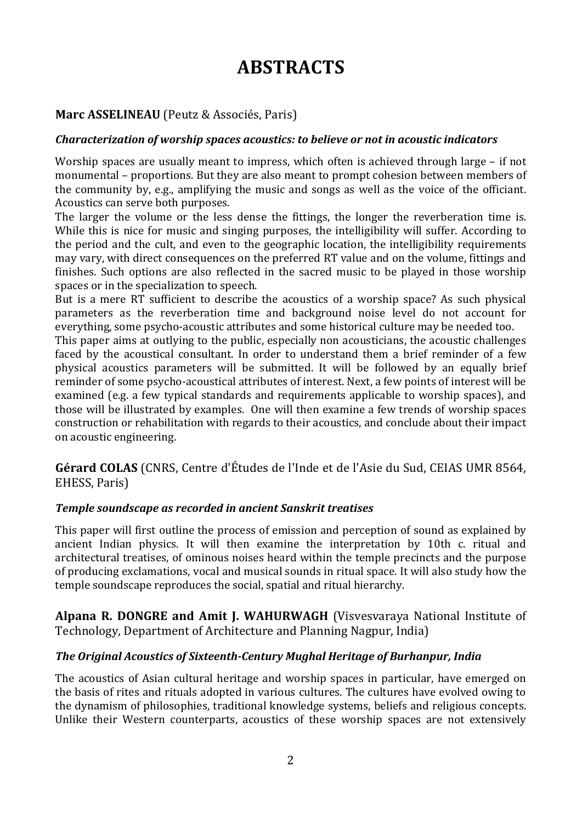# **ABSTRACTS**

#### **Marc ASSELINEAU** (Peutz & Associés, Paris)

#### *Characterization of worship spaces acoustics: to believe or not in acoustic indicators*

Worship spaces are usually meant to impress, which often is achieved through large – if not monumental – proportions. But they are also meant to prompt cohesion between members of the community by, e.g., amplifying the music and songs as well as the voice of the officiant. Acoustics can serve both purposes.

The larger the volume or the less dense the fittings, the longer the reverberation time is. While this is nice for music and singing purposes, the intelligibility will suffer. According to the period and the cult, and even to the geographic location, the intelligibility requirements may vary, with direct consequences on the preferred RT value and on the volume, fittings and finishes. Such options are also reflected in the sacred music to be played in those worship spaces or in the specialization to speech.

But is a mere RT sufficient to describe the acoustics of a worship space? As such physical parameters as the reverberation time and background noise level do not account for everything, some psycho-acoustic attributes and some historical culture may be needed too.

This paper aims at outlying to the public, especially non acousticians, the acoustic challenges faced by the acoustical consultant. In order to understand them a brief reminder of a few physical acoustics parameters will be submitted. It will be followed by an equally brief reminder of some psycho-acoustical attributes of interest. Next, a few points of interest will be examined (e.g. a few typical standards and requirements applicable to worship spaces), and those will be illustrated by examples. One will then examine a few trends of worship spaces construction or rehabilitation with regards to their acoustics, and conclude about their impact on acoustic engineering.

**Gérard COLAS** (CNRS, Centre d'Études de l'Inde et de l'Asie du Sud, CEIAS UMR 8564, EHESS, Paris)

#### **Temple soundscape as recorded in ancient Sanskrit treatises**

This paper will first outline the process of emission and perception of sound as explained by ancient Indian physics. It will then examine the interpretation by 10th c. ritual and architectural treatises, of ominous noises heard within the temple precincts and the purpose of producing exclamations, vocal and musical sounds in ritual space. It will also study how the temple soundscape reproduces the social, spatial and ritual hierarchy.

**Alpana R. DONGRE and Amit J. WAHURWAGH** (Visvesvaraya National Institute of Technology, Department of Architecture and Planning Nagpur, India)

#### **The Original Acoustics of Sixteenth-Century Mughal Heritage of Burhanpur, India**

The acoustics of Asian cultural heritage and worship spaces in particular, have emerged on the basis of rites and rituals adopted in various cultures. The cultures have evolved owing to the dynamism of philosophies, traditional knowledge systems, beliefs and religious concepts. Unlike their Western counterparts, acoustics of these worship spaces are not extensively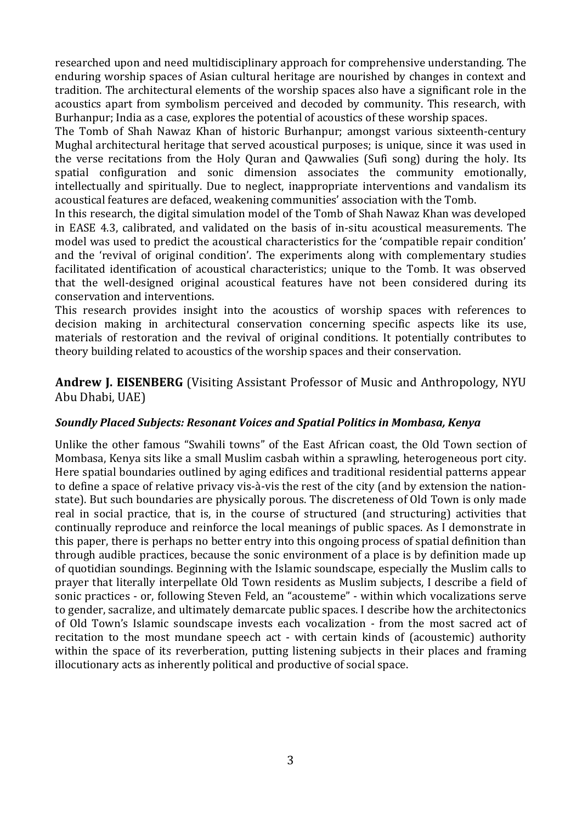researched upon and need multidisciplinary approach for comprehensive understanding. The enduring worship spaces of Asian cultural heritage are nourished by changes in context and tradition. The architectural elements of the worship spaces also have a significant role in the acoustics apart from symbolism perceived and decoded by community. This research, with Burhanpur; India as a case, explores the potential of acoustics of these worship spaces.

The Tomb of Shah Nawaz Khan of historic Burhanpur; amongst various sixteenth-century Mughal architectural heritage that served acoustical purposes; is unique, since it was used in the verse recitations from the Holy Ouran and Oawwalies (Sufi song) during the holy. Its spatial configuration and sonic dimension associates the community emotionally, intellectually and spiritually. Due to neglect, inappropriate interventions and vandalism its" acoustical features are defaced, weakening communities' association with the Tomb.

In this research, the digital simulation model of the Tomb of Shah Nawaz Khan was developed in EASE 4.3, calibrated, and validated on the basis of in-situ acoustical measurements. The model was used to predict the acoustical characteristics for the 'compatible repair condition' and the 'revival of original condition'. The experiments along with complementary studies facilitated identification of acoustical characteristics; unique to the Tomb. It was observed that the well-designed original acoustical features have not been considered during its conservation and interventions.

This research provides insight into the acoustics of worship spaces with references to decision making in architectural conservation concerning specific aspects like its use, materials of restoration and the revival of original conditions. It potentially contributes to theory building related to acoustics of the worship spaces and their conservation.

Andrew J. EISENBERG (Visiting Assistant Professor of Music and Anthropology, NYU Abu Dhabi, UAE)

#### *Soundly!Placed!Subjects:!Resonant!Voices!and!Spatial!Politics!in!Mombasa,!Kenya*

Unlike the other famous "Swahili towns" of the East African coast, the Old Town section of Mombasa, Kenya sits like a small Muslim casbah within a sprawling, heterogeneous port city. Here spatial boundaries outlined by aging edifices and traditional residential patterns appear to define a space of relative privacy vis-à-vis the rest of the city (and by extension the nationstate). But such boundaries are physically porous. The discreteness of Old Town is only made real in social practice, that is, in the course of structured (and structuring) activities that continually reproduce and reinforce the local meanings of public spaces. As I demonstrate in this paper, there is perhaps no better entry into this ongoing process of spatial definition than through audible practices, because the sonic environment of a place is by definition made up of quotidian soundings. Beginning with the Islamic soundscape, especially the Muslim calls to prayer that literally interpellate Old Town residents as Muslim subjects, I describe a field of sonic practices - or, following Steven Feld, an "acousteme" - within which vocalizations serve to gender, sacralize, and ultimately demarcate public spaces. I describe how the architectonics of Old Town's Islamic soundscape invests each vocalization - from the most sacred act of recitation to the most mundane speech act - with certain kinds of (acoustemic) authority within the space of its reverberation, putting listening subjects in their places and framing illocutionary acts as inherently political and productive of social space.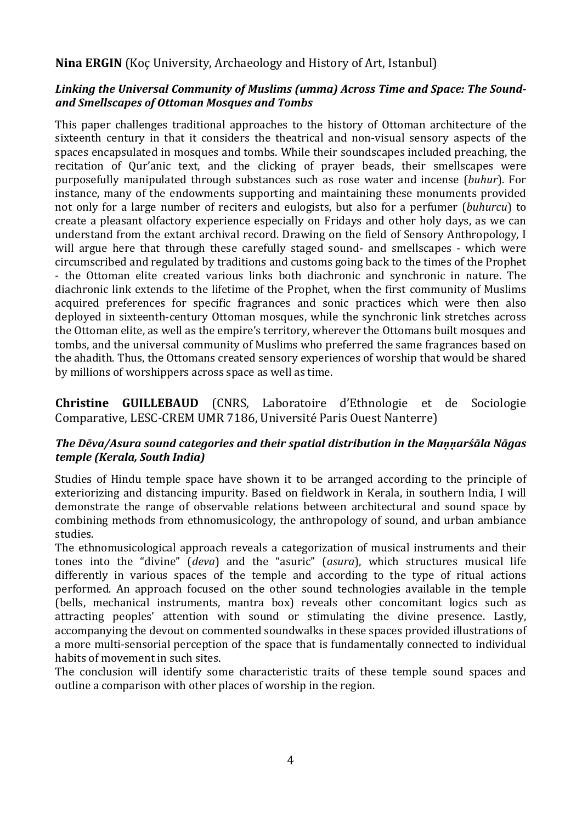#### **Nina ERGIN** (Koc University, Archaeology and History of Art, Istanbul)

#### Linking the Universal Community of Muslims (umma) Across Time and Space: The Sound*and!Smellscapes!of!Ottoman!Mosques!and!Tombs*

This paper challenges traditional approaches to the history of Ottoman architecture of the sixteenth century in that it considers the theatrical and non-visual sensory aspects of the spaces encapsulated in mosques and tombs. While their soundscapes included preaching, the recitation of Qur'anic text, and the clicking of prayer beads, their smellscapes were purposefully manipulated through substances such as rose water and incense (*buhur*). For instance, many of the endowments supporting and maintaining these monuments provided not only for a large number of reciters and eulogists, but also for a perfumer (*buhurcu*) to create a pleasant olfactory experience especially on Fridays and other holy days, as we can understand from the extant archival record. Drawing on the field of Sensory Anthropology, I will argue here that through these carefully staged sound- and smellscapes - which were circumscribed and regulated by traditions and customs going back to the times of the Prophet - the Ottoman elite created various links both diachronic and synchronic in nature. The diachronic link extends to the lifetime of the Prophet, when the first community of Muslims" acquired preferences for specific fragrances and sonic practices which were then also deployed in sixteenth-century Ottoman mosques, while the synchronic link stretches across the Ottoman elite, as well as the empire's territory, wherever the Ottomans built mosques and tombs, and the universal community of Muslims who preferred the same fragrances based on the ahadith. Thus, the Ottomans created sensory experiences of worship that would be shared by millions of worshippers across space as well as time.

**Christine GUILLEBAUD** (CNRS, Laboratoire d'Ethnologie et de Sociologie Comparative, LESC-CREM UMR 7186, Université Paris Ouest Nanterre)

#### *The Dēva/Asura sound categories and their spatial distribution in the Mannarśāla Nāgas temple (Kerala, South India)*

Studies of Hindu temple space have shown it to be arranged according to the principle of exteriorizing and distancing impurity. Based on fieldwork in Kerala, in southern India, I will demonstrate the range of observable relations between architectural and sound space by combining methods from ethnomusicology, the anthropology of sound, and urban ambiance studies.

The ethnomusicological approach reveals a categorization of musical instruments and their tones into the "divine" (*deva*) and the "asuric" (*asura*), which structures musical life differently in various spaces of the temple and according to the type of ritual actions performed. An approach focused on the other sound technologies available in the temple (bells, mechanical instruments, mantra box) reveals other concomitant logics such as attracting peoples' attention with sound or stimulating the divine presence. Lastly, accompanying the devout on commented soundwalks in these spaces provided illustrations of a more multi-sensorial perception of the space that is fundamentally connected to individual habits of movement in such sites.

The conclusion will identify some characteristic traits of these temple sound spaces and outline a comparison with other places of worship in the region.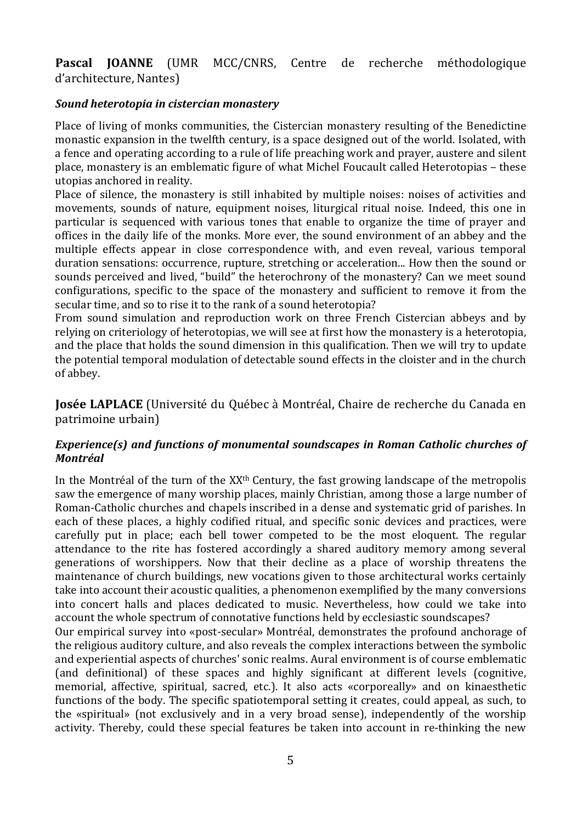**Pascal JOANNE** (UMR MCC/CNRS, Centre de recherche méthodologique d'architecture, Nantes)

#### *Sound!heterotopia!in!cistercian!monastery*

Place of living of monks communities, the Cistercian monastery resulting of the Benedictine monastic expansion in the twelfth century, is a space designed out of the world. Isolated, with a fence and operating according to a rule of life preaching work and prayer, austere and silent place, monastery is an emblematic figure of what Michel Foucault called Heterotopias – these utopias anchored in reality.

Place of silence, the monastery is still inhabited by multiple noises: noises of activities and movements, sounds of nature, equipment noises, liturgical ritual noise. Indeed, this one in particular is sequenced with various tones that enable to organize the time of prayer and offices in the daily life of the monks. More ever, the sound environment of an abbey and the multiple effects appear in close correspondence with, and even reveal, various temporal duration sensations: occurrence, rupture, stretching or acceleration... How then the sound or sounds perceived and lived, "build" the heterochrony of the monastery? Can we meet sound configurations, specific to the space of the monastery and sufficient to remove it from the secular time, and so to rise it to the rank of a sound heterotopia?

From sound simulation and reproduction work on three French Cistercian abbeys and by relying on criteriology of heterotopias, we will see at first how the monastery is a heterotopia, and the place that holds the sound dimension in this qualification. Then we will try to update the potential temporal modulation of detectable sound effects in the cloister and in the church of abbey.

**Josée LAPLACE** (Université du Québec à Montréal, Chaire de recherche du Canada en patrimoine urbain)

#### *Experience(s) and functions of monumental soundscapes in Roman Catholic churches of Montréal*

In the Montréal of the turn of the  $XX<sup>th</sup>$  Century, the fast growing landscape of the metropolis" saw the emergence of many worship places, mainly Christian, among those a large number of Roman-Catholic churches and chapels inscribed in a dense and systematic grid of parishes. In each of these places, a highly codified ritual, and specific sonic devices and practices, were carefully put in place; each bell tower competed to be the most eloquent. The regular attendance to the rite has fostered accordingly a shared auditory memory among several generations of worshippers. Now that their decline as a place of worship threatens the maintenance of church buildings, new vocations given to those architectural works certainly take into account their acoustic qualities, a phenomenon exemplified by the many conversions into concert halls and places dedicated to music. Nevertheless, how could we take into account the whole spectrum of connotative functions held by ecclesiastic soundscapes?

Our empirical survey into «post-secular» Montréal, demonstrates the profound anchorage of the religious auditory culture, and also reveals the complex interactions between the symbolic and experiential aspects of churches' sonic realms. Aural environment is of course emblematic (and definitional) of these spaces and highly significant at different levels (cognitive, memorial, affective, spiritual, sacred, etc.). It also acts «corporeally» and on kinaesthetic functions of the body. The specific spatiotemporal setting it creates, could appeal, as such, to the «spiritual» (not exclusively and in a very broad sense), independently of the worship activity. Thereby, could these special features be taken into account in re-thinking the new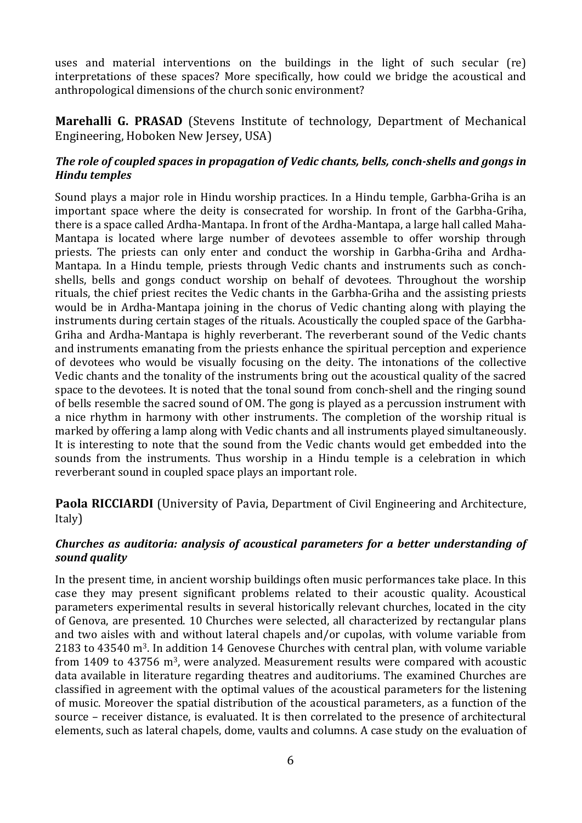uses and material interventions on the buildings in the light of such secular (re) interpretations of these spaces? More specifically, how could we bridge the acoustical and anthropological dimensions of the church sonic environment?

Marehalli G. PRASAD (Stevens Institute of technology, Department of Mechanical Engineering, Hoboken New Jersey, USA)

#### *The role of coupled spaces in propagation of Vedic chants, bells, conch-shells and gongs in Hindu!temples*

Sound plays a major role in Hindu worship practices. In a Hindu temple, Garbha-Griha is an important space where the deity is consecrated for worship. In front of the Garbha-Griha, there is a space called Ardha-Mantapa. In front of the Ardha-Mantapa, a large hall called Maha-Mantapa is located where large number of devotees assemble to offer worship through priests. The priests can only enter and conduct the worship in Garbha-Griha and Ardha-Mantapa. In a Hindu temple, priests through Vedic chants and instruments such as conchshells, bells and gongs conduct worship on behalf of devotees. Throughout the worship rituals, the chief priest recites the Vedic chants in the Garbha-Griha and the assisting priests would be in Ardha-Mantapa joining in the chorus of Vedic chanting along with playing the instruments during certain stages of the rituals. Acoustically the coupled space of the Garbha-Griha and Ardha-Mantapa is highly reverberant. The reverberant sound of the Vedic chants and instruments emanating from the priests enhance the spiritual perception and experience of devotees who would be visually focusing on the deity. The intonations of the collective Vedic chants and the tonality of the instruments bring out the acoustical quality of the sacred space to the devotees. It is noted that the tonal sound from conch-shell and the ringing sound of bells resemble the sacred sound of OM. The gong is played as a percussion instrument with a nice rhythm in harmony with other instruments. The completion of the worship ritual is" marked by offering a lamp along with Vedic chants and all instruments played simultaneously. It is interesting to note that the sound from the Vedic chants would get embedded into the sounds from the instruments. Thus worship in a Hindu temple is a celebration in which reverberant sound in coupled space plays an important role.

**Paola RICCIARDI** (University of Pavia, Department of Civil Engineering and Architecture, Italy)

#### *Churches as auditoria: analysis of acoustical parameters for a better understanding of sound!quality*

In the present time, in ancient worship buildings often music performances take place. In this case they may present significant problems related to their acoustic quality. Acoustical parameters experimental results in several historically relevant churches, located in the city of Genova, are presented. 10 Churches were selected, all characterized by rectangular plans and two aisles with and without lateral chapels and/or cupolas, with volume variable from 2183 to 43540  $m<sup>3</sup>$ . In addition 14 Genovese Churches with central plan, with volume variable from  $1409$  to  $43756$  m<sup>3</sup>, were analyzed. Measurement results were compared with acoustic data available in literature regarding theatres and auditoriums. The examined Churches are classified in agreement with the optimal values of the acoustical parameters for the listening of music. Moreover the spatial distribution of the acoustical parameters, as a function of the source – receiver distance, is evaluated. It is then correlated to the presence of architectural elements, such as lateral chapels, dome, vaults and columns. A case study on the evaluation of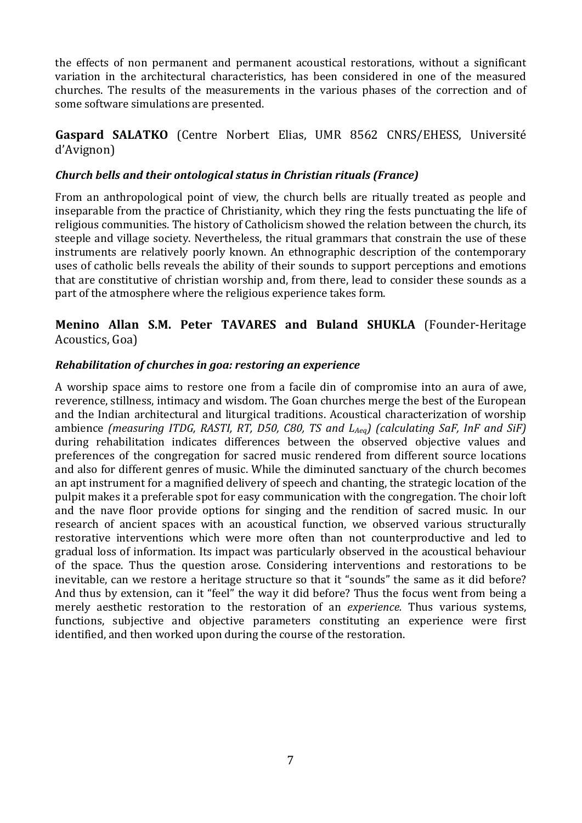the effects of non permanent and permanent acoustical restorations, without a significant variation in the architectural characteristics, has been considered in one of the measured churches. The results of the measurements in the various phases of the correction and of some software simulations are presented.

#### Gaspard SALATKO (Centre Norbert Elias, UMR 8562 CNRS/EHESS, Université d'Avignon)

#### *Church!bells!and!their!ontological!status!in!Christian!rituals!(France)*

From an anthropological point of view, the church bells are ritually treated as people and inseparable from the practice of Christianity, which they ring the fests punctuating the life of religious communities. The history of Catholicism showed the relation between the church, its steeple and village society. Nevertheless, the ritual grammars that constrain the use of these instruments are relatively poorly known. An ethnographic description of the contemporary uses of catholic bells reveals the ability of their sounds to support perceptions and emotions that are constitutive of christian worship and, from there, lead to consider these sounds as a part of the atmosphere where the religious experience takes form.

#### **Menino Allan S.M. Peter TAVARES and Buland SHUKLA** (Founder-Heritage) Acoustics, Goa)

#### *Rehabilitation of churches in goa: restoring an experience*

A worship space aims to restore one from a facile din of compromise into an aura of awe, reverence, stillness, intimacy and wisdom. The Goan churches merge the best of the European and the Indian architectural and liturgical traditions. Acoustical characterization of worship ambience *(measuring ITDG, RASTI, RT, D50, C80, TS and L<sub>Aeg</sub>) (calculating SaF, InF and SiF)* during rehabilitation indicates differences between the observed objective values and preferences of the congregation for sacred music rendered from different source locations and also for different genres of music. While the diminuted sanctuary of the church becomes an apt instrument for a magnified delivery of speech and chanting, the strategic location of the pulpit makes it a preferable spot for easy communication with the congregation. The choir loft and the nave floor provide options for singing and the rendition of sacred music. In our research of ancient spaces with an acoustical function, we observed various structurally restorative interventions which were more often than not counterproductive and led to gradual loss of information. Its impact was particularly observed in the acoustical behaviour of the space. Thus the question arose. Considering interventions and restorations to be inevitable, can we restore a heritage structure so that it "sounds" the same as it did before? And thus by extension, can it "feel" the way it did before? Thus the focus went from being a merely aesthetic restoration to the restoration of an *experience*. Thus various systems, functions, subjective and objective parameters constituting an experience were first identified, and then worked upon during the course of the restoration.